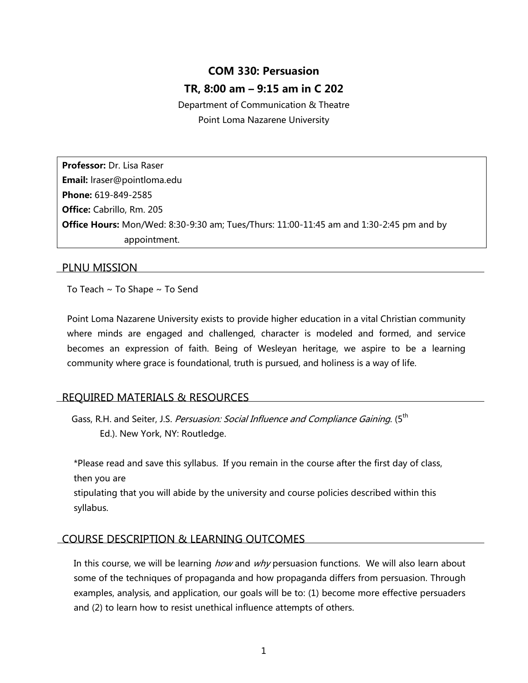# **COM 330: Persuasion TR, 8:00 am – 9:15 am in C 202**

Department of Communication & Theatre Point Loma Nazarene University

**Professor:** Dr. Lisa Raser **Email:** lraser@pointloma.edu **Phone:** 619-849-2585 **Office:** Cabrillo, Rm. 205 **Office Hours:** Mon/Wed: 8:30-9:30 am; Tues/Thurs: 11:00-11:45 am and 1:30-2:45 pm and by appointment.

## PLNU MISSION

To Teach  $\sim$  To Shape  $\sim$  To Send

Point Loma Nazarene University exists to provide higher education in a vital Christian community where minds are engaged and challenged, character is modeled and formed, and service becomes an expression of faith. Being of Wesleyan heritage, we aspire to be a learning community where grace is foundational, truth is pursued, and holiness is a way of life.

# REQUIRED MATERIALS & RESOURCES

Gass, R.H. and Seiter, J.S. *Persuasion: Social Influence and Compliance Gaining*. (5<sup>th</sup> Ed.). New York, NY: Routledge.

\*Please read and save this syllabus. If you remain in the course after the first day of class, then you are

stipulating that you will abide by the university and course policies described within this syllabus.

## COURSE DESCRIPTION & LEARNING OUTCOMES

In this course, we will be learning *how* and why persuasion functions. We will also learn about some of the techniques of propaganda and how propaganda differs from persuasion. Through examples, analysis, and application, our goals will be to: (1) become more effective persuaders and (2) to learn how to resist unethical influence attempts of others.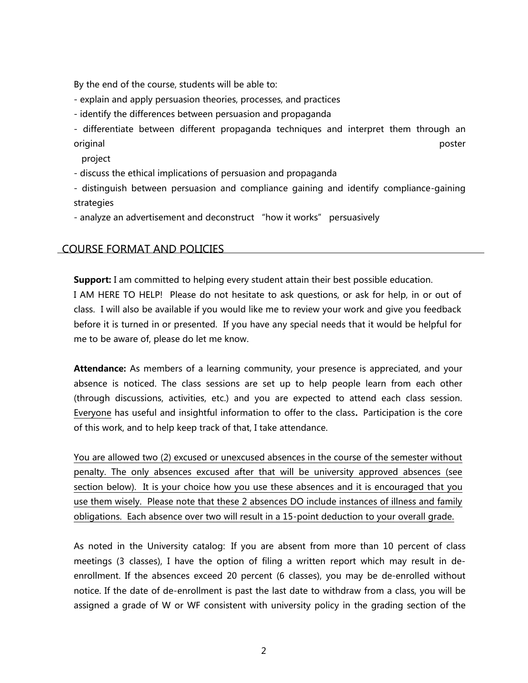By the end of the course, students will be able to:

- explain and apply persuasion theories, processes, and practices

- identify the differences between persuasion and propaganda

- differentiate between different propaganda techniques and interpret them through an original poster and the control of the control of the control of the control of the control of the control of t

project

- discuss the ethical implications of persuasion and propaganda

- distinguish between persuasion and compliance gaining and identify compliance-gaining strategies

- analyze an advertisement and deconstruct "how it works" persuasively

## COURSE FORMAT AND POLICIES

**Support:** I am committed to helping every student attain their best possible education. I AM HERE TO HELP! Please do not hesitate to ask questions, or ask for help, in or out of class. I will also be available if you would like me to review your work and give you feedback before it is turned in or presented. If you have any special needs that it would be helpful for me to be aware of, please do let me know.

**Attendance:** As members of a learning community, your presence is appreciated, and your absence is noticed. The class sessions are set up to help people learn from each other (through discussions, activities, etc.) and you are expected to attend each class session. Everyone has useful and insightful information to offer to the class**.** Participation is the core of this work, and to help keep track of that, I take attendance.

You are allowed two (2) excused or unexcused absences in the course of the semester without penalty. The only absences excused after that will be university approved absences (see section below). It is your choice how you use these absences and it is encouraged that you use them wisely. Please note that these 2 absences DO include instances of illness and family obligations. Each absence over two will result in a 15-point deduction to your overall grade.

As noted in the University catalog: If you are absent from more than 10 percent of class meetings (3 classes), I have the option of filing a written report which may result in deenrollment. If the absences exceed 20 percent (6 classes), you may be de-enrolled without notice. If the date of de-enrollment is past the last date to withdraw from a class, you will be assigned a grade of W or WF consistent with university policy in the grading section of the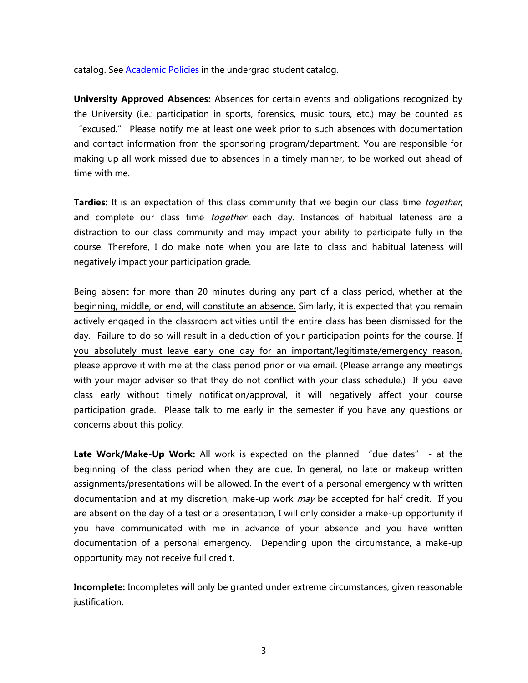catalog. See [Academic](http://www.pointloma.edu/experience/academics/catalogs/undergraduate-catalog/point-loma-education/academic-policies) [Policies](http://www.pointloma.edu/experience/academics/catalogs/undergraduate-catalog/point-loma-education/academic-policies) in the undergrad student catalog.

**University Approved Absences:** Absences for certain events and obligations recognized by the University (i.e.: participation in sports, forensics, music tours, etc.) may be counted as "excused." Please notify me at least one week prior to such absences with documentation and contact information from the sponsoring program/department. You are responsible for making up all work missed due to absences in a timely manner, to be worked out ahead of time with me.

Tardies: It is an expectation of this class community that we begin our class time *together*, and complete our class time *together* each day. Instances of habitual lateness are a distraction to our class community and may impact your ability to participate fully in the course. Therefore, I do make note when you are late to class and habitual lateness will negatively impact your participation grade.

Being absent for more than 20 minutes during any part of a class period, whether at the beginning, middle, or end, will constitute an absence. Similarly, it is expected that you remain actively engaged in the classroom activities until the entire class has been dismissed for the day. Failure to do so will result in a deduction of your participation points for the course. If you absolutely must leave early one day for an important/legitimate/emergency reason, please approve it with me at the class period prior or via email. (Please arrange any meetings with your major adviser so that they do not conflict with your class schedule.) If you leave class early without timely notification/approval, it will negatively affect your course participation grade. Please talk to me early in the semester if you have any questions or concerns about this policy.

**Late Work/Make-Up Work:** All work is expected on the planned "due dates" - at the beginning of the class period when they are due. In general, no late or makeup written assignments/presentations will be allowed. In the event of a personal emergency with written documentation and at my discretion, make-up work *may* be accepted for half credit. If you are absent on the day of a test or a presentation, I will only consider a make-up opportunity if you have communicated with me in advance of your absence and you have written documentation of a personal emergency. Depending upon the circumstance, a make-up opportunity may not receive full credit.

**Incomplete:** Incompletes will only be granted under extreme circumstances, given reasonable justification.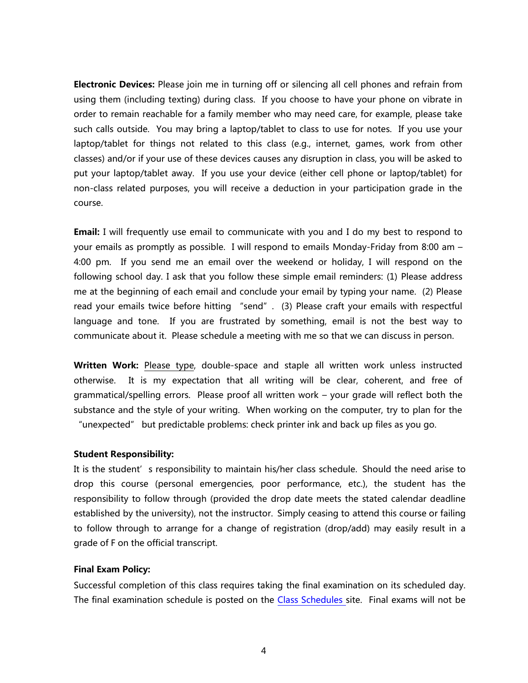**Electronic Devices:** Please join me in turning off or silencing all cell phones and refrain from using them (including texting) during class. If you choose to have your phone on vibrate in order to remain reachable for a family member who may need care, for example, please take such calls outside. You may bring a laptop/tablet to class to use for notes. If you use your laptop/tablet for things not related to this class (e.g., internet, games, work from other classes) and/or if your use of these devices causes any disruption in class, you will be asked to put your laptop/tablet away. If you use your device (either cell phone or laptop/tablet) for non-class related purposes, you will receive a deduction in your participation grade in the course.

**Email:** I will frequently use email to communicate with you and I do my best to respond to your emails as promptly as possible. I will respond to emails Monday-Friday from 8:00 am – 4:00 pm. If you send me an email over the weekend or holiday, I will respond on the following school day. I ask that you follow these simple email reminders: (1) Please address me at the beginning of each email and conclude your email by typing your name. (2) Please read your emails twice before hitting "send". (3) Please craft your emails with respectful language and tone. If you are frustrated by something, email is not the best way to communicate about it. Please schedule a meeting with me so that we can discuss in person.

**Written Work:** Please type, double-space and staple all written work unless instructed otherwise.It is my expectation that all writing will be clear, coherent, and free of grammatical/spelling errors. Please proof all written work – your grade will reflect both the substance and the style of your writing. When working on the computer, try to plan for the "unexpected" but predictable problems: check printer ink and back up files as you go.

#### **Student Responsibility:**

It is the student's responsibility to maintain his/her class schedule. Should the need arise to drop this course (personal emergencies, poor performance, etc.), the student has the responsibility to follow through (provided the drop date meets the stated calendar deadline established by the university), not the instructor. Simply ceasing to attend this course or failing to follow through to arrange for a change of registration (drop/add) may easily result in a grade of F on the official transcript.

#### **Final Exam Policy:**

Successful completion of this class requires taking the final examination on its scheduled day. The final examination schedule is posted on the Class [Schedules](http://www.pointloma.edu/experience/academics/class-schedules) site. Final exams will not be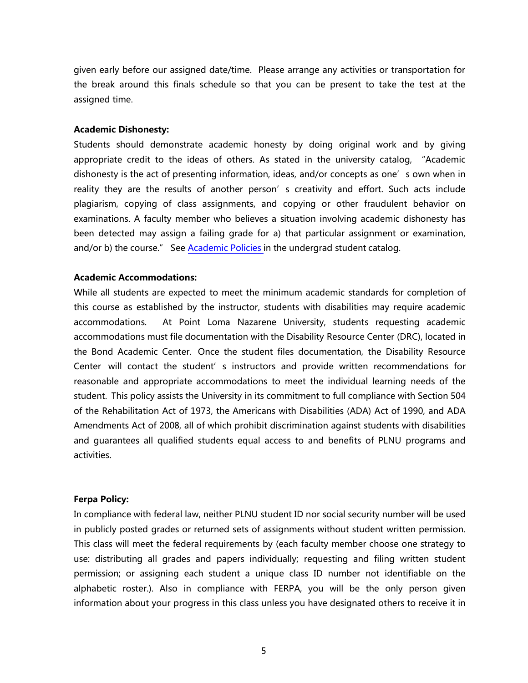given early before our assigned date/time. Please arrange any activities or transportation for the break around this finals schedule so that you can be present to take the test at the assigned time.

#### **Academic Dishonesty:**

Students should demonstrate academic honesty by doing original work and by giving appropriate credit to the ideas of others. As stated in the university catalog, "Academic dishonesty is the act of presenting information, ideas, and/or concepts as one's own when in reality they are the results of another person's creativity and effort. Such acts include plagiarism, copying of class assignments, and copying or other fraudulent behavior on examinations. A faculty member who believes a situation involving academic dishonesty has been detected may assign a failing grade for a) that particular assignment or examination, and/or b) the course." See [Academic](http://www.pointloma.edu/experience/academics/catalogs/undergraduate-catalog/point-loma-education/academic-policies) Policies in the undergrad student catalog.

#### **Academic Accommodations:**

While all students are expected to meet the minimum academic standards for completion of this course as established by the instructor, students with disabilities may require academic accommodations. At Point Loma Nazarene University, students requesting academic accommodations must file documentation with the Disability Resource Center (DRC), located in the Bond Academic Center. Once the student files documentation, the Disability Resource Center will contact the student's instructors and provide written recommendations for reasonable and appropriate accommodations to meet the individual learning needs of the student. This policy assists the University in its commitment to full compliance with Section 504 of the Rehabilitation Act of 1973, the Americans with Disabilities (ADA) Act of 1990, and ADA Amendments Act of 2008, all of which prohibit discrimination against students with disabilities and guarantees all qualified students equal access to and benefits of PLNU programs and activities.

#### **Ferpa Policy:**

In compliance with federal law, neither PLNU student ID nor social security number will be used in publicly posted grades or returned sets of assignments without student written permission. This class will meet the federal requirements by (each faculty member choose one strategy to use: distributing all grades and papers individually; requesting and filing written student permission; or assigning each student a unique class ID number not identifiable on the alphabetic roster.). Also in compliance with FERPA, you will be the only person given information about your progress in this class unless you have designated others to receive it in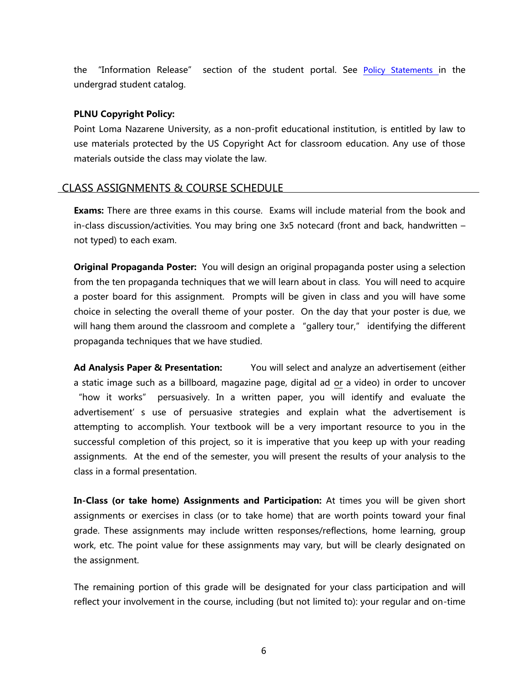the "Information Release" section of the student portal. See Policy [Statements](http://www.pointloma.edu/experience/academics/catalogs/undergraduate-catalog/policy-statements) in the undergrad student catalog.

#### **PLNU Copyright Policy:**

Point Loma Nazarene University, as a non-profit educational institution, is entitled by law to use materials protected by the US Copyright Act for classroom education. Any use of those materials outside the class may violate the law.

## CLASS ASSIGNMENTS & COURSE SCHEDULE

**Exams:** There are three exams in this course. Exams will include material from the book and in-class discussion/activities. You may bring one 3x5 notecard (front and back, handwritten – not typed) to each exam.

**Original Propaganda Poster:** You will design an original propaganda poster using a selection from the ten propaganda techniques that we will learn about in class. You will need to acquire a poster board for this assignment. Prompts will be given in class and you will have some choice in selecting the overall theme of your poster. On the day that your poster is due, we will hang them around the classroom and complete a "gallery tour," identifying the different propaganda techniques that we have studied.

**Ad Analysis Paper & Presentation:** You will select and analyze an advertisement (either a static image such as a billboard, magazine page, digital ad or a video) in order to uncover "how it works" persuasively. In a written paper, you will identify and evaluate the advertisement's use of persuasive strategies and explain what the advertisement is attempting to accomplish. Your textbook will be a very important resource to you in the successful completion of this project, so it is imperative that you keep up with your reading assignments. At the end of the semester, you will present the results of your analysis to the class in a formal presentation.

**In-Class (or take home) Assignments and Participation:** At times you will be given short assignments or exercises in class (or to take home) that are worth points toward your final grade. These assignments may include written responses/reflections, home learning, group work, etc. The point value for these assignments may vary, but will be clearly designated on the assignment.

The remaining portion of this grade will be designated for your class participation and will reflect your involvement in the course, including (but not limited to): your regular and on-time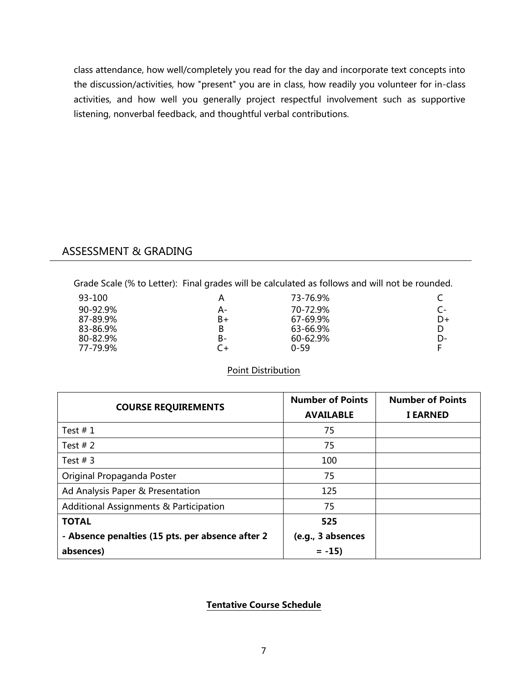class attendance, how well/completely you read for the day and incorporate text concepts into the discussion/activities, how "present" you are in class, how readily you volunteer for in-class activities, and how well you generally project respectful involvement such as supportive listening, nonverbal feedback, and thoughtful verbal contributions.

# ASSESSMENT & GRADING

Grade Scale (% to Letter): Final grades will be calculated as follows and will not be rounded.

| 93-100   | А  | 73-76.9%     |    |
|----------|----|--------------|----|
| 90-92.9% | А- | 70-72.9%     |    |
| 87-89.9% | B+ | 67-69.9%     | D+ |
| 83-86.9% | В  | 63-66.9%     |    |
| 80-82.9% | B- | $60 - 62.9%$ | D- |
| 77-79.9% |    | 0-59         |    |

## Point Distribution

|                                                  | <b>Number of Points</b> | <b>Number of Points</b> |
|--------------------------------------------------|-------------------------|-------------------------|
| <b>COURSE REQUIREMENTS</b>                       | <b>AVAILABLE</b>        | <b>I EARNED</b>         |
| Test $# 1$                                       | 75                      |                         |
| Test $# 2$                                       | 75                      |                         |
| Test $# 3$                                       | 100                     |                         |
| Original Propaganda Poster                       | 75                      |                         |
| Ad Analysis Paper & Presentation                 | 125                     |                         |
| Additional Assignments & Participation           | 75                      |                         |
| <b>TOTAL</b>                                     | 525                     |                         |
| - Absence penalties (15 pts. per absence after 2 | (e.g., 3 absences       |                         |
| absences)                                        | $= -15$                 |                         |

## **Tentative Course Schedule**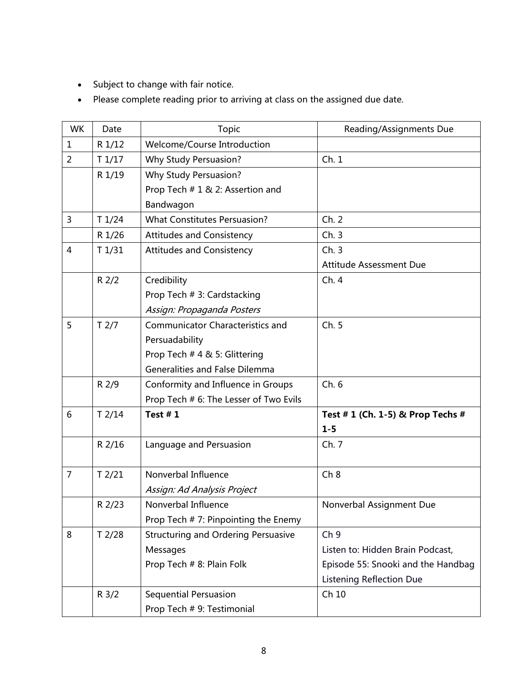- Subject to change with fair notice.
- Please complete reading prior to arriving at class on the assigned due date.

| <b>WK</b>      | Date             | Topic                                      | Reading/Assignments Due            |
|----------------|------------------|--------------------------------------------|------------------------------------|
| $\mathbf{1}$   | R 1/12           | Welcome/Course Introduction                |                                    |
| $\overline{2}$ | T1/17            | <b>Why Study Persuasion?</b>               | Ch.1                               |
|                | R 1/19           | Why Study Persuasion?                      |                                    |
|                |                  | Prop Tech # 1 & 2: Assertion and           |                                    |
|                |                  | Bandwagon                                  |                                    |
| 3              | T1/24            | <b>What Constitutes Persuasion?</b>        | Ch. 2                              |
|                | R 1/26           | <b>Attitudes and Consistency</b>           | Ch.3                               |
| $\overline{4}$ | T1/31            | <b>Attitudes and Consistency</b>           | Ch.3                               |
|                |                  |                                            | Attitude Assessment Due            |
|                | $R$ 2/2          | Credibility                                | Ch. 4                              |
|                |                  | Prop Tech # 3: Cardstacking                |                                    |
|                |                  | Assign: Propaganda Posters                 |                                    |
| 5              | T <sub>2/7</sub> | <b>Communicator Characteristics and</b>    | Ch. 5                              |
|                |                  | Persuadability                             |                                    |
|                |                  | Prop Tech # 4 & 5: Glittering              |                                    |
|                |                  | Generalities and False Dilemma             |                                    |
|                | R 2/9            | Conformity and Influence in Groups         | Ch.6                               |
|                |                  | Prop Tech # 6: The Lesser of Two Evils     |                                    |
| 6              | $T$ 2/14         | Test $# 1$                                 | Test # 1 (Ch. 1-5) & Prop Techs #  |
|                |                  |                                            | $1 - 5$                            |
|                | R 2/16           | Language and Persuasion                    | Ch. 7                              |
|                |                  |                                            |                                    |
| $\overline{7}$ | $T$ 2/21         | Nonverbal Influence                        | Ch 8                               |
|                |                  | Assign: Ad Analysis Project                |                                    |
|                | R 2/23           | Nonverbal Influence                        | Nonverbal Assignment Due           |
|                |                  | Prop Tech #7: Pinpointing the Enemy        |                                    |
| 8              | $T$ 2/28         | <b>Structuring and Ordering Persuasive</b> | Ch <sub>9</sub>                    |
|                |                  | Messages                                   | Listen to: Hidden Brain Podcast,   |
|                |                  | Prop Tech # 8: Plain Folk                  | Episode 55: Snooki and the Handbag |
|                |                  |                                            | <b>Listening Reflection Due</b>    |
|                | R 3/2            | Sequential Persuasion                      | Ch 10                              |
|                |                  | Prop Tech # 9: Testimonial                 |                                    |